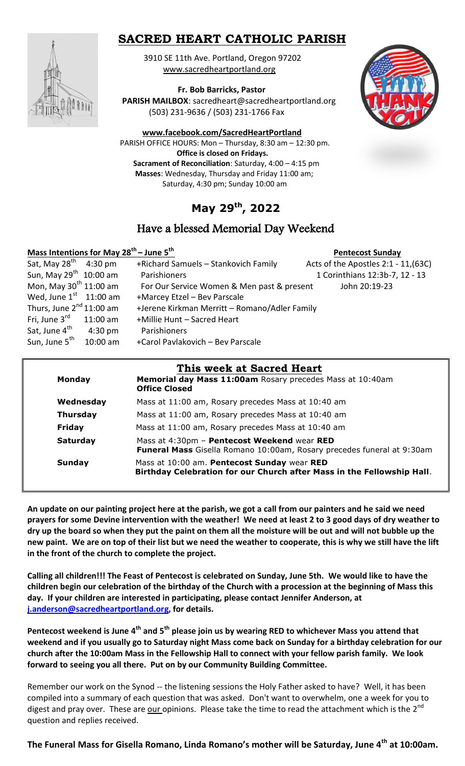# **SACRED HEART CATHOLIC PARISH**

 3910 SE 11th Ave. Portland, Oregon 97202 [www.sacredheartportland.org](http://www.sacredheartportland.org/)



 **Fr. Bob Barricks, Pastor**

 **PARISH MAILBOX**: sacredheart@sacredheartportland.org (503) 231-9636 / (503) 231-1766 Fax



**[www.facebook.com/SacredHeartPortland](http://www.facebook.com/SacredHeartPortland)**

 PARISH OFFICE HOURS: Mon – Thursday, 8:30 am – 12:30 pm. **Office is closed on Fridays. Sacrament of Reconciliation**: Saturday, 4:00 – 4:15 pm  **Masses**: Wednesday, Thursday and Friday 11:00 am; Saturday, 4:30 pm; Sunday 10:00 am

# **May 29th , 2022**

## Have a blessed Memorial Day Weekend

## **Mass Intentions for May 28th – June 5th**

| Mass Intentions for May $28^{th}$ – June 5 <sup>th</sup> |                   |                                               | <b>Pentecost Sunday</b>              |
|----------------------------------------------------------|-------------------|-----------------------------------------------|--------------------------------------|
| Sat, May $28^{th}$ 4:30 pm                               |                   | +Richard Samuels - Stankovich Family          | Acts of the Apostles 2:1 - 11, (63C) |
| Sun, May 29 <sup>th</sup> 10:00 am                       |                   | Parishioners                                  | 1 Corinthians 12:3b-7, 12 - 13       |
| Mon, May $30^{th}$ 11:00 am                              |                   | For Our Service Women & Men past & present    | John 20:19-23                        |
| Wed, June $1st$ 11:00 am                                 |                   | +Marcey Etzel - Bev Parscale                  |                                      |
| Thurs, June $2^{nd}$ 11:00 am                            |                   | +Jerene Kirkman Merritt - Romano/Adler Family |                                      |
| Fri, June $3^{\text{rd}}$ 11:00 am                       |                   | +Millie Hunt - Sacred Heart                   |                                      |
| Sat, June 4 <sup>th</sup>                                | $4:30 \text{ pm}$ | Parishioners                                  |                                      |
| Sun, June 5 <sup>th</sup>                                | 10:00 am          | +Carol Pavlakovich - Bev Parscale             |                                      |

| <b>Monday</b>   | Memorial day Mass 11:00am Rosary precedes Mass at 10:40am<br><b>Office Closed</b>                                            |  |
|-----------------|------------------------------------------------------------------------------------------------------------------------------|--|
| Wednesday       | Mass at 11:00 am, Rosary precedes Mass at 10:40 am                                                                           |  |
| <b>Thursday</b> | Mass at 11:00 am, Rosary precedes Mass at 10:40 am                                                                           |  |
| Friday          | Mass at 11:00 am, Rosary precedes Mass at 10:40 am                                                                           |  |
| <b>Saturday</b> | Mass at 4:30pm - Pentecost Weekend wear RED<br><b>Funeral Mass</b> Gisella Romano 10:00am, Rosary precedes funeral at 9:30am |  |
| <b>Sunday</b>   | Mass at 10:00 am. Pentecost Sunday wear RED<br>Birthday Celebration for our Church after Mass in the Fellowship Hall.        |  |

**An update on our painting project here at the parish, we got a call from our painters and he said we need prayers for some Devine intervention with the weather! We need at least 2 to 3 good days of dry weather to dry up the board so when they put the paint on them all the moisture will be out and will not bubble up the new paint. We are on top of their list but we need the weather to cooperate, this is why we still have the lift in the front of the church to complete the project.**

**Calling all children!!! The Feast of Pentecost is celebrated on Sunday, June 5th. We would like to have the children begin our celebration of the birthday of the Church with a procession at the beginning of Mass this day. If your children are interested in participating, please contact Jennifer Anderson, at [j.anderson@sacredheartportland.org,](mailto:j.anderson@sacredheartportland.org) for details.**

**Pentecost weekend is June 4th and 5th please join us by wearing RED to whichever Mass you attend that weekend and if you usually go to Saturday night Mass come back on Sunday for a birthday celebration for our church after the 10:00am Mass in the Fellowship Hall to connect with your fellow parish family. We look forward to seeing you all there. Put on by our Community Building Committee.**

Remember our work on the Synod -- the listening sessions the Holy Father asked to have? Well, it has been compiled into a summary of each question that was asked. Don't want to overwhelm, one a week for you to digest and pray over. These are **our opinions. Please take the time to read the attachment which is the 2<sup>nd</sup>** question and replies received.

**The Funeral Mass for Gisella Romano, Linda Romano's mother will be Saturday, June 4th at 10:00am.**